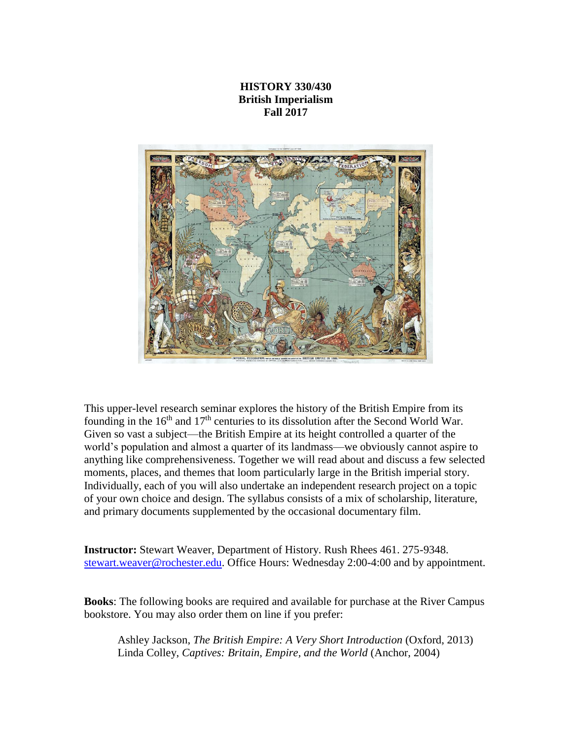# **HISTORY 330/430 British Imperialism Fall 2017**



This upper-level research seminar explores the history of the British Empire from its founding in the  $16<sup>th</sup>$  and  $17<sup>th</sup>$  centuries to its dissolution after the Second World War. Given so vast a subject—the British Empire at its height controlled a quarter of the world's population and almost a quarter of its landmass—we obviously cannot aspire to anything like comprehensiveness. Together we will read about and discuss a few selected moments, places, and themes that loom particularly large in the British imperial story. Individually, each of you will also undertake an independent research project on a topic of your own choice and design. The syllabus consists of a mix of scholarship, literature, and primary documents supplemented by the occasional documentary film.

**Instructor:** Stewart Weaver, Department of History. Rush Rhees 461. 275-9348. [stewart.weaver@rochester.edu.](mailto:stewart.weaver@rochester.edu) Office Hours: Wednesday 2:00-4:00 and by appointment.

**Books**: The following books are required and available for purchase at the River Campus bookstore. You may also order them on line if you prefer:

Ashley Jackson, *The British Empire: A Very Short Introduction* (Oxford, 2013) Linda Colley, *Captives: Britain, Empire, and the World* (Anchor, 2004)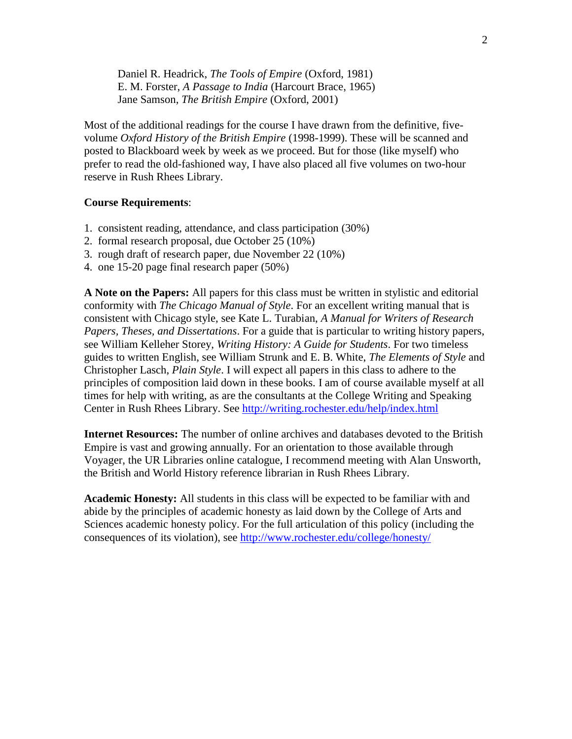Daniel R. Headrick, *The Tools of Empire* (Oxford, 1981) E. M. Forster, *A Passage to India* (Harcourt Brace, 1965) Jane Samson, *The British Empire* (Oxford, 2001)

Most of the additional readings for the course I have drawn from the definitive, fivevolume *Oxford History of the British Empire* (1998-1999). These will be scanned and posted to Blackboard week by week as we proceed. But for those (like myself) who prefer to read the old-fashioned way, I have also placed all five volumes on two-hour reserve in Rush Rhees Library.

### **Course Requirements**:

- 1. consistent reading, attendance, and class participation (30%)
- 2. formal research proposal, due October 25 (10%)
- 3. rough draft of research paper, due November 22 (10%)
- 4. one 15-20 page final research paper (50%)

**A Note on the Papers:** All papers for this class must be written in stylistic and editorial conformity with *The Chicago Manual of Style*. For an excellent writing manual that is consistent with Chicago style, see Kate L. Turabian, *A Manual for Writers of Research Papers, Theses, and Dissertations*. For a guide that is particular to writing history papers, see William Kelleher Storey, *Writing History: A Guide for Students*. For two timeless guides to written English, see William Strunk and E. B. White, *The Elements of Style* and Christopher Lasch, *Plain Style*. I will expect all papers in this class to adhere to the principles of composition laid down in these books. I am of course available myself at all times for help with writing, as are the consultants at the College Writing and Speaking Center in Rush Rhees Library. See<http://writing.rochester.edu/help/index.html>

**Internet Resources:** The number of online archives and databases devoted to the British Empire is vast and growing annually. For an orientation to those available through Voyager, the UR Libraries online catalogue, I recommend meeting with Alan Unsworth, the British and World History reference librarian in Rush Rhees Library.

**Academic Honesty:** All students in this class will be expected to be familiar with and abide by the principles of academic honesty as laid down by the College of Arts and Sciences academic honesty policy. For the full articulation of this policy (including the consequences of its violation), see<http://www.rochester.edu/college/honesty/>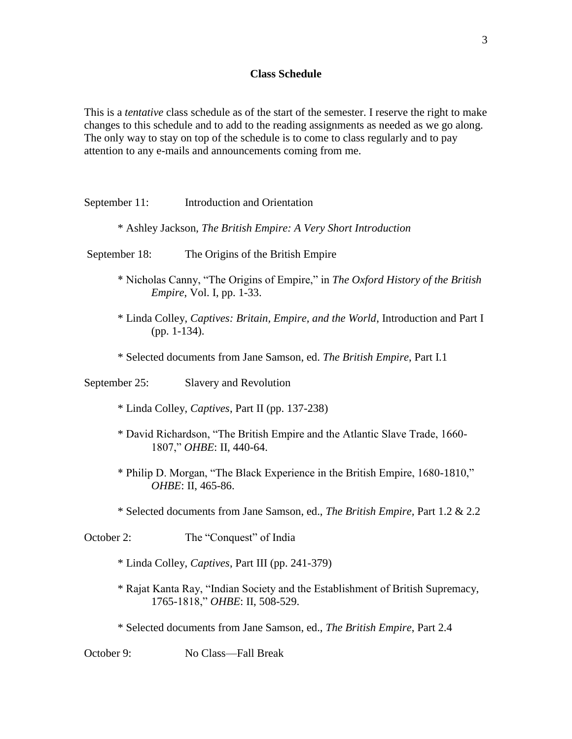#### **Class Schedule**

This is a *tentative* class schedule as of the start of the semester. I reserve the right to make changes to this schedule and to add to the reading assignments as needed as we go along. The only way to stay on top of the schedule is to come to class regularly and to pay attention to any e-mails and announcements coming from me.

- September 11: Introduction and Orientation
	- \* Ashley Jackson, *The British Empire: A Very Short Introduction*
- September 18: The Origins of the British Empire
	- \* Nicholas Canny, "The Origins of Empire," in *The Oxford History of the British Empire*, Vol. I, pp. 1-33.
	- \* Linda Colley, *Captives: Britain, Empire, and the World*, Introduction and Part I (pp. 1-134).
	- \* Selected documents from Jane Samson, ed. *The British Empire*, Part I.1

September 25: Slavery and Revolution

- \* Linda Colley, *Captives*, Part II (pp. 137-238)
- \* David Richardson, "The British Empire and the Atlantic Slave Trade, 1660- 1807," *OHBE*: II, 440-64.
- \* Philip D. Morgan, "The Black Experience in the British Empire, 1680-1810," *OHBE*: II, 465-86.
- \* Selected documents from Jane Samson, ed., *The British Empire,* Part 1.2 & 2.2

October 2: The "Conquest" of India

- \* Linda Colley, *Captives*, Part III (pp. 241-379)
- \* Rajat Kanta Ray, "Indian Society and the Establishment of British Supremacy, 1765-1818," *OHBE*: II, 508-529.
- \* Selected documents from Jane Samson, ed., *The British Empire*, Part 2.4

October 9: No Class—Fall Break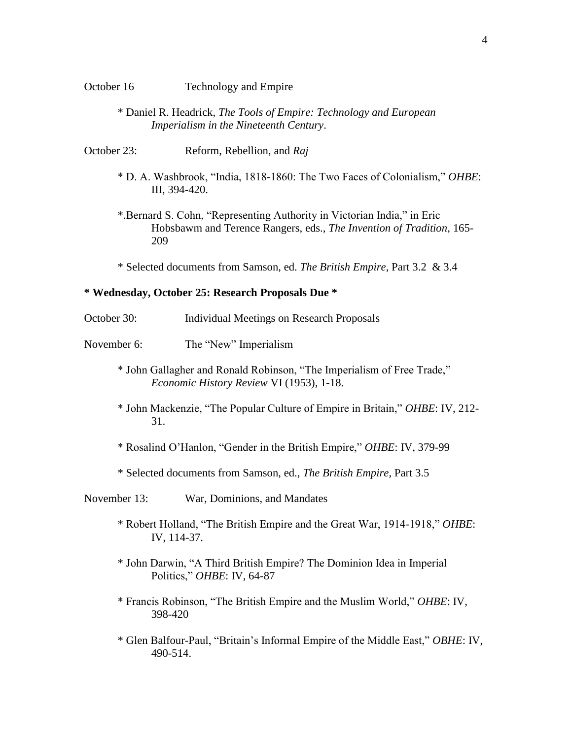- \* Daniel R. Headrick, *The Tools of Empire: Technology and European Imperialism in the Nineteenth Century*.
- October 23: Reform, Rebellion, and *Raj*
	- \* D. A. Washbrook, "India, 1818-1860: The Two Faces of Colonialism," *OHBE*: III, 394-420.
	- \*.Bernard S. Cohn, "Representing Authority in Victorian India," in Eric Hobsbawm and Terence Rangers, eds., *The Invention of Tradition*, 165- 209

\* Selected documents from Samson, ed. *The British Empire*, Part 3.2 & 3.4

### **\* Wednesday, October 25: Research Proposals Due \***

- October 30: Individual Meetings on Research Proposals
- November 6: The "New" Imperialism
	- \* John Gallagher and Ronald Robinson, "The Imperialism of Free Trade," *Economic History Review* VI (1953), 1-18.
	- \* John Mackenzie, "The Popular Culture of Empire in Britain," *OHBE*: IV, 212- 31.
	- \* Rosalind O'Hanlon, "Gender in the British Empire," *OHBE*: IV, 379-99
	- \* Selected documents from Samson, ed., *The British Empire*, Part 3.5
- November 13: War, Dominions, and Mandates
	- \* Robert Holland, "The British Empire and the Great War, 1914-1918," *OHBE*: IV, 114-37.
	- \* John Darwin, "A Third British Empire? The Dominion Idea in Imperial Politics," *OHBE*: IV, 64-87
	- \* Francis Robinson, "The British Empire and the Muslim World," *OHBE*: IV, 398-420
	- \* Glen Balfour-Paul, "Britain's Informal Empire of the Middle East," *OBHE*: IV, 490-514.